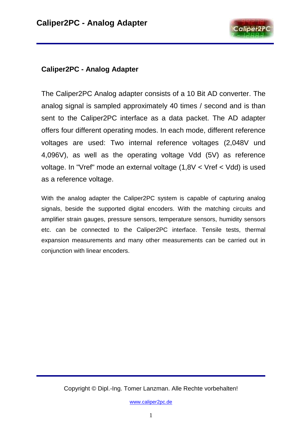

#### **Caliper2PC - Analog Adapter**

The Caliper2PC Analog adapter consists of a 10 Bit AD converter. The analog signal is sampled approximately 40 times / second and is than sent to the Caliper2PC interface as a data packet. The AD adapter offers four different operating modes. In each mode, different reference voltages are used: Two internal reference voltages (2,048V und 4,096V), as well as the operating voltage Vdd (5V) as reference voltage. In "Vref" mode an external voltage (1,8V < Vref < Vdd) is used as a reference voltage.

With the analog adapter the Caliper2PC system is capable of capturing analog signals, beside the supported digital encoders. With the matching circuits and amplifier strain gauges, pressure sensors, temperature sensors, humidity sensors etc. can be connected to the Caliper2PC interface. Tensile tests, thermal expansion measurements and many other measurements can be carried out in conjunction with linear encoders.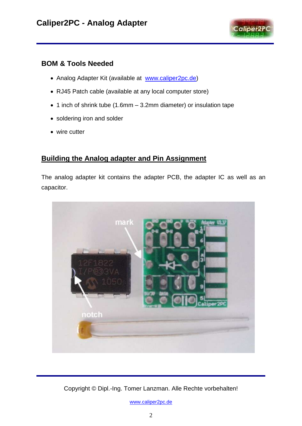

#### **BOM & Tools Needed**

- Analog Adapter Kit (available at [www.caliper2pc.de\)](http://www.caliper2pc.com/)
- RJ45 Patch cable (available at any local computer store)
- 1 inch of shrink tube (1.6mm 3.2mm diameter) or insulation tape
- soldering iron and solder
- wire cutter

### **Building the Analog adapter and Pin Assignment**

The analog adapter kit contains the adapter PCB, the adapter IC as well as an capacitor.



Copyright © Dipl.-Ing. Tomer Lanzman. Alle Rechte vorbehalten!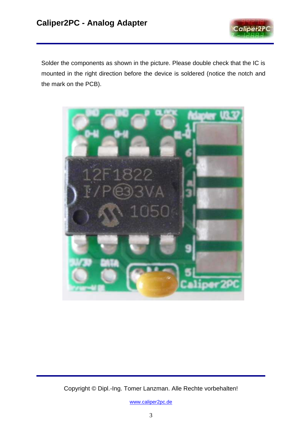

Solder the components as shown in the picture. Please double check that the IC is mounted in the right direction before the device is soldered (notice the notch and the mark on the PCB).



Copyright © Dipl.-Ing. Tomer Lanzman. Alle Rechte vorbehalten!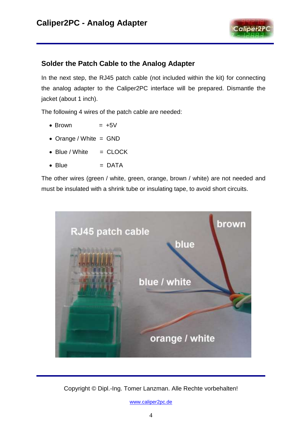

#### **Solder the Patch Cable to the Analog Adapter**

In the next step, the RJ45 patch cable (not included within the kit) for connecting the analog adapter to the Caliper2PC interface will be prepared. Dismantle the jacket (about 1 inch).

The following 4 wires of the patch cable are needed:

- $\bullet$  Brown  $= +5V$
- Orange / White = GND
- $\bullet$  Blue / White  $=$  CLOCK
- Blue = DATA

The other wires (green / white, green, orange, brown / white) are not needed and must be insulated with a shrink tube or insulating tape, to avoid short circuits.



Copyright © Dipl.-Ing. Tomer Lanzman. Alle Rechte vorbehalten!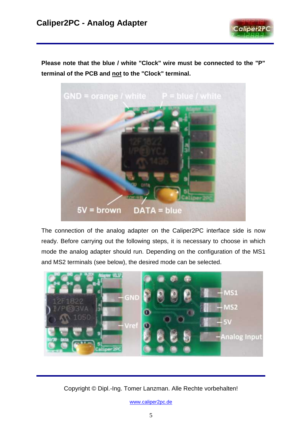

**Please note that the blue / white "Clock" wire must be connected to the "P" terminal of the PCB and not to the "Clock" terminal.** 



The connection of the analog adapter on the Caliper2PC interface side is now ready. Before carrying out the following steps, it is necessary to choose in which mode the analog adapter should run. Depending on the configuration of the MS1 and MS2 terminals (see below), the desired mode can be selected.



Copyright © Dipl.-Ing. Tomer Lanzman. Alle Rechte vorbehalten!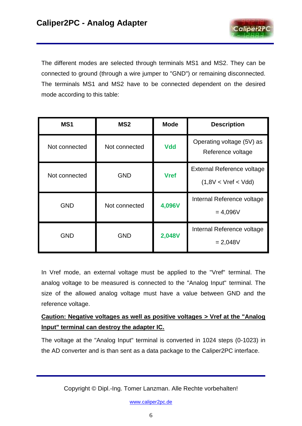

The different modes are selected through terminals MS1 and MS2. They can be connected to ground (through a wire jumper to "GND") or remaining disconnected. The terminals MS1 and MS2 have to be connected dependent on the desired mode according to this table:

| MS <sub>1</sub> | MS <sub>2</sub> | <b>Mode</b> | <b>Description</b>                                |  |
|-----------------|-----------------|-------------|---------------------------------------------------|--|
| Not connected   | Not connected   | <b>Vdd</b>  | Operating voltage (5V) as<br>Reference voltage    |  |
| Not connected   | <b>GND</b>      | <b>Vref</b> | External Reference voltage<br>(1,8V < Vref < Vdd) |  |
| <b>GND</b>      | Not connected   | 4,096V      | Internal Reference voltage<br>$= 4,096V$          |  |
| <b>GND</b>      | <b>GND</b>      | 2,048V      | Internal Reference voltage<br>$= 2,048V$          |  |

In Vref mode, an external voltage must be applied to the "Vref" terminal. The analog voltage to be measured is connected to the "Analog Input" terminal. The size of the allowed analog voltage must have a value between GND and the reference voltage.

### **Caution: Negative voltages as well as positive voltages > Vref at the "Analog Input" terminal can destroy the adapter IC.**

The voltage at the "Analog Input" terminal is converted in 1024 steps (0-1023) in the AD converter and is than sent as a data package to the Caliper2PC interface.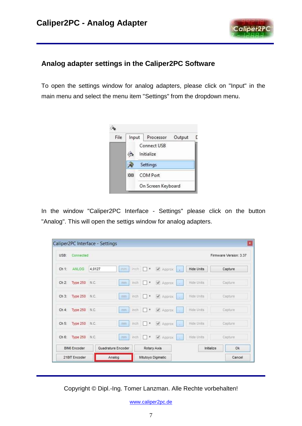

## **Analog adapter settings in the Caliper2PC Software**

To open the settings window for analog adapters, please click on "Input" in the main menu and select the menu item "Settings" from the dropdown menu.



In the window "Caliper2PC Interface - Settings" please click on the button "Analog". This will open the settigs window for analog adapters.

| USB:    | Connected           |        |                         |                       |                    |                   | Firmware Version: 3.37 |
|---------|---------------------|--------|-------------------------|-----------------------|--------------------|-------------------|------------------------|
| Ch 1:   | ANLOG               | 4.0127 | m <sub>H</sub>          | $lnch$ $\Box$         | Approx             | <b>Hide Units</b> | Capture                |
| Ch 2:   | Type 250 N.C.       |        | mm                      | $mch$ $\theta$        | Approx             | Hide Units        | Capture                |
| $Ch3$ : | Type 250 N.C.       |        | mm                      | inch o                | Approx             | Hide Units        | Capture                |
| Ch 4.   | Type 250 N.C.       |        | $\overline{\text{min}}$ | $inch$ $\Box$ $\circ$ | Approx<br>- 41     | Hide Units        | Capture                |
| Ch 5:   | Type 250 N.C.       |        | <b>COTTO</b>            | $inch$ $\Box$ $\circ$ | Approx             | Hide Units:       | Capture                |
|         | Ch 6: Type 250 N.C. |        | inch.<br><b>TTIUTI</b>  | $\Box$                | Approx             | Hide Units        | Capture                |
|         | <b>BIN6 Encoder</b> |        | Quadrature Encoder      |                       | Rotary Axis        | Initialize        | Ok                     |
|         | 21BIT Encoder       |        | Analog                  |                       | Mitutoyo Digimatic |                   | Cancel                 |

Copyright © Dipl.-Ing. Tomer Lanzman. Alle Rechte vorbehalten!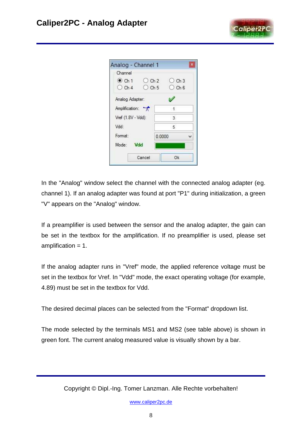

| Analog - Channel 1  |                                            | $\mathbf x$ |
|---------------------|--------------------------------------------|-------------|
| Channel             |                                            |             |
| $\odot$ Ch 1        | $O$ Ch <sub>2</sub><br>$O$ Ch <sub>3</sub> |             |
| $O$ Ch <sub>4</sub> | $O$ Ch 6<br>$O$ Ch 5                       |             |
| Analog Adapter:     |                                            |             |
| Amplification:      | $\lceil \cdot \rceil$                      |             |
| Vref (1.8V - Vdd):  | 3                                          |             |
| Vdd:                | 5                                          |             |
| Format:             | 0.0000                                     |             |
| Mode:<br>Vdd        |                                            |             |
| Cancel              | Ok                                         |             |

In the "Analog" window select the channel with the connected analog adapter (eg. channel 1). If an analog adapter was found at port "P1" during initialization, a green "V" appears on the "Analog" window.

If a preamplifier is used between the sensor and the analog adapter, the gain can be set in the textbox for the amplification. If no preamplifier is used, please set amplification = 1.

If the analog adapter runs in "Vref" mode, the applied reference voltage must be set in the textbox for Vref. In "Vdd" mode, the exact operating voltage (for example, 4.89) must be set in the textbox for Vdd.

The desired decimal places can be selected from the "Format" dropdown list.

The mode selected by the terminals MS1 and MS2 (see table above) is shown in green font. The current analog measured value is visually shown by a bar.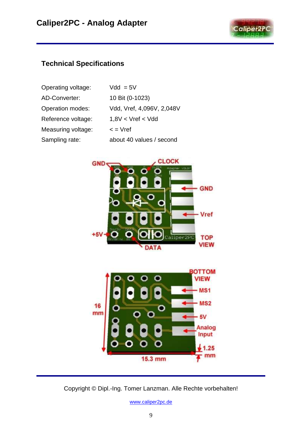

### **Technical Specifications**

| Operating voltage:      | $Vdd = 5V$                |
|-------------------------|---------------------------|
| AD-Converter:           | 10 Bit (0-1023)           |
| <b>Operation modes:</b> | Vdd, Vref, 4,096V, 2,048V |
| Reference voltage:      | 1.8V < Vref < Vdd         |
| Measuring voltage:      | $\leq$ = $Vref$           |
| Sampling rate:          | about 40 values / second  |





Copyright © Dipl.-Ing. Tomer Lanzman. Alle Rechte vorbehalten!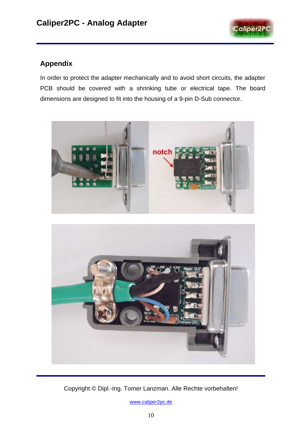

# **Appendix**

In order to protect the adapter mechanically and to avoid short circuits, the adapter PCB should be covered with a shrinking tube or electrical tape. The board dimensions are designed to fit into the housing of a 9-pin D-Sub connector.





Copyright © Dipl.-Ing. Tomer Lanzman. Alle Rechte vorbehalten!